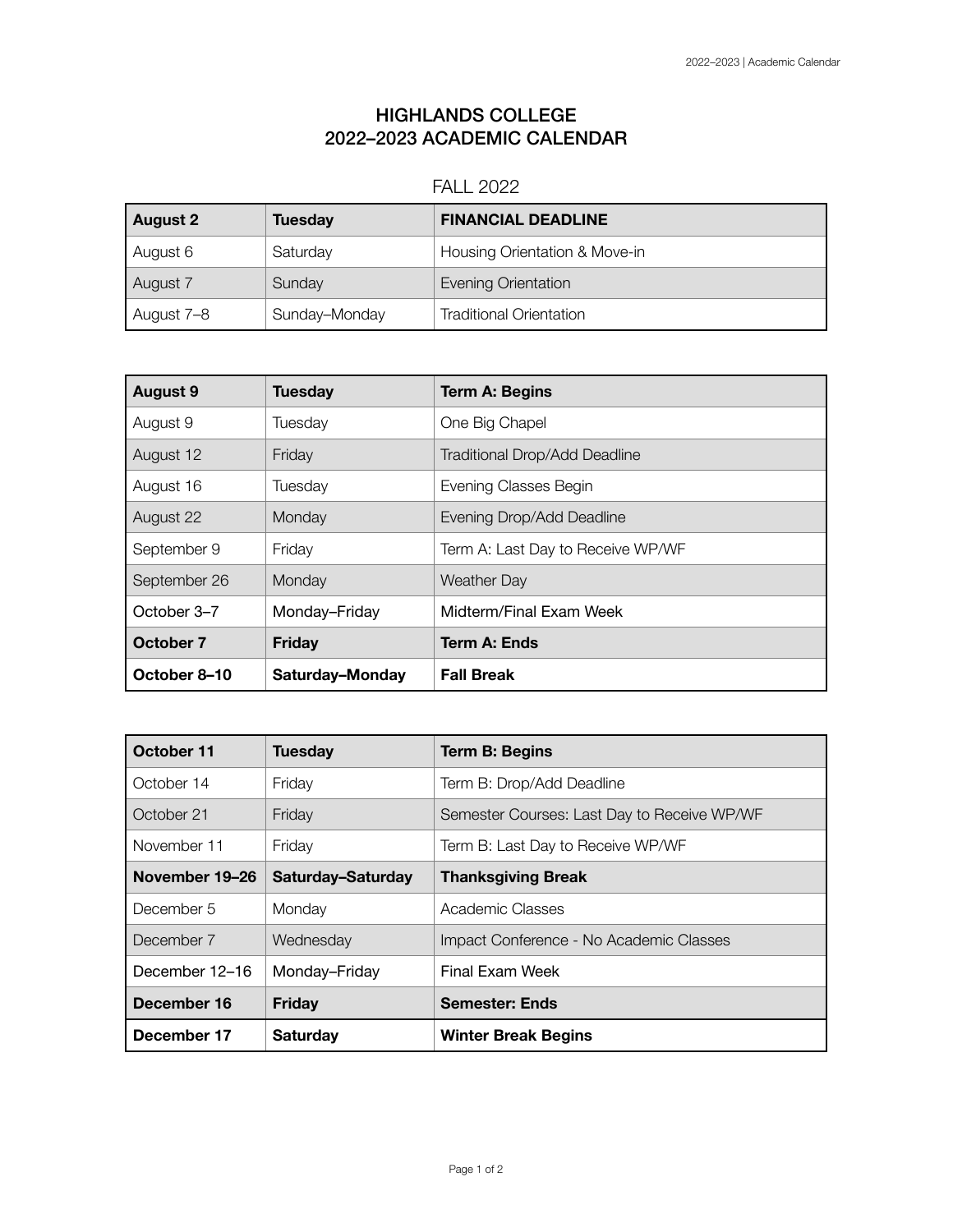## HIGHLANDS COLLEGE 2022–2023 ACADEMIC CALENDAR

## FALL 2022

| <b>August 2</b> | <b>Tuesday</b> | <b>FINANCIAL DEADLINE</b>      |
|-----------------|----------------|--------------------------------|
| August 6        | Saturday       | Housing Orientation & Move-in  |
| August 7        | Sunday         | <b>Evening Orientation</b>     |
| August 7-8      | Sunday-Monday  | <b>Traditional Orientation</b> |

| <b>August 9</b> | <b>Tuesday</b>  | <b>Term A: Begins</b>                |
|-----------------|-----------------|--------------------------------------|
| August 9        | Tuesday         | One Big Chapel                       |
| August 12       | Friday          | <b>Traditional Drop/Add Deadline</b> |
| August 16       | Tuesday         | Evening Classes Begin                |
| August 22       | Monday          | Evening Drop/Add Deadline            |
| September 9     | Friday          | Term A: Last Day to Receive WP/WF    |
| September 26    | Monday          | <b>Weather Day</b>                   |
| October 3-7     | Monday-Friday   | Midterm/Final Exam Week              |
| October 7       | <b>Friday</b>   | Term A: Ends                         |
| October 8-10    | Saturday-Monday | <b>Fall Break</b>                    |

| October 11     | <b>Tuesday</b>    | <b>Term B: Begins</b>                       |
|----------------|-------------------|---------------------------------------------|
| October 14     | Friday            | Term B: Drop/Add Deadline                   |
| October 21     | Friday            | Semester Courses: Last Day to Receive WP/WF |
| November 11    | Friday            | Term B: Last Day to Receive WP/WF           |
| November 19-26 | Saturday-Saturday | <b>Thanksgiving Break</b>                   |
| December 5     | Monday            | Academic Classes                            |
| December 7     | Wednesday         | Impact Conference - No Academic Classes     |
| December 12-16 | Monday-Friday     | Final Exam Week                             |
| December 16    | <b>Friday</b>     | <b>Semester: Ends</b>                       |
| December 17    | <b>Saturday</b>   | <b>Winter Break Begins</b>                  |